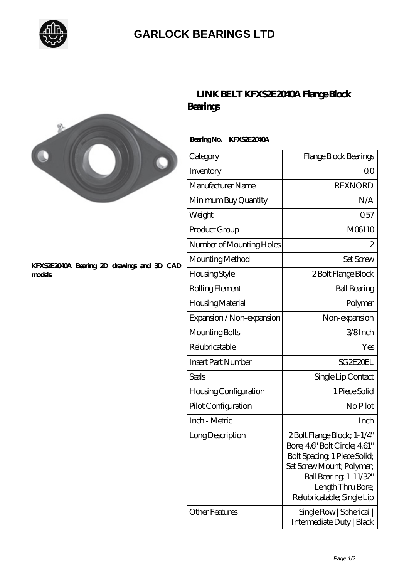

## **[GARLOCK BEARINGS LTD](https://m.letterstopriests.com)**



## **[KFXS2E2040A Bearing 2D drawings and 3D CAD](https://m.letterstopriests.com/pic-188913.html) [models](https://m.letterstopriests.com/pic-188913.html)**

## **[LINK BELT KFXS2E2040A Flange Block](https://m.letterstopriests.com/bz-188913-link-belt-kfxs2e2040a-flange-block-bearings.html) [Bearings](https://m.letterstopriests.com/bz-188913-link-belt-kfxs2e2040a-flange-block-bearings.html)**

 **Bearing No. KFXS2E2040A**

| Category                  | Flange Block Bearings                                                                                                                                                                                |
|---------------------------|------------------------------------------------------------------------------------------------------------------------------------------------------------------------------------------------------|
| Inventory                 | 0 <sup>0</sup>                                                                                                                                                                                       |
| Manufacturer Name         | <b>REXNORD</b>                                                                                                                                                                                       |
| Minimum Buy Quantity      | N/A                                                                                                                                                                                                  |
| Weight                    | 0.57                                                                                                                                                                                                 |
| Product Group             | M06110                                                                                                                                                                                               |
| Number of Mounting Holes  | 2                                                                                                                                                                                                    |
| Mounting Method           | <b>Set Screw</b>                                                                                                                                                                                     |
| Housing Style             | 2 Bolt Flange Block                                                                                                                                                                                  |
| Rolling Element           | <b>Ball Bearing</b>                                                                                                                                                                                  |
| Housing Material          | Polymer                                                                                                                                                                                              |
| Expansion / Non-expansion | Non-expansion                                                                                                                                                                                        |
| Mounting Bolts            | 3/8Inch                                                                                                                                                                                              |
| Relubricatable            | Yes                                                                                                                                                                                                  |
| <b>Insert Part Number</b> | SG 2E2OEL                                                                                                                                                                                            |
| Seals                     | Single Lip Contact                                                                                                                                                                                   |
| Housing Configuration     | 1 Piece Solid                                                                                                                                                                                        |
| Pilot Configuration       | No Pilot                                                                                                                                                                                             |
| Inch - Metric             | Inch                                                                                                                                                                                                 |
| Long Description          | 2 Bolt Flange Block; 1-1/4"<br>Bore; 46" Bolt Circle; 461"<br>Bolt Spacing, 1 Piece Solid;<br>Set Screw Mount; Polymer;<br>Ball Bearing, 1-11/32"<br>Length Thru Bore;<br>Relubricatable; Single Lip |
| Other Features            | Single Row   Spherical  <br>Intermediate Duty   Black                                                                                                                                                |